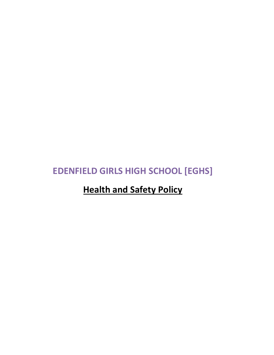# **EDENFIELD GIRLS HIGH SCHOOL [EGHS]**

# **Health and Safety Policy**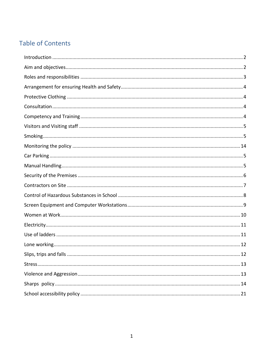# **Table of Contents**

<span id="page-1-0"></span>

| 12 |  |
|----|--|
|    |  |
|    |  |
|    |  |
|    |  |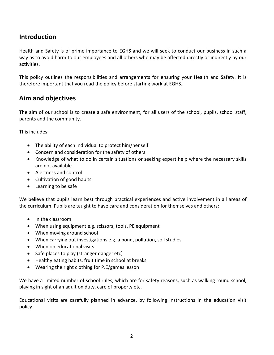# **Introduction**

Health and Safety is of prime importance to EGHS and we will seek to conduct our business in such a way as to avoid harm to our employees and all others who may be affected directly or indirectly by our activities.

This policy outlines the responsibilities and arrangements for ensuring your Health and Safety. It is therefore important that you read the policy before starting work at EGHS.

### <span id="page-2-0"></span>**Aim and objectives**

The aim of our school is to create a safe environment, for all users of the school, pupils, school staff, parents and the community.

This includes:

- The ability of each individual to protect him/her self
- Concern and consideration for the safety of others
- Knowledge of what to do in certain situations or seeking expert help where the necessary skills are not available.
- Alertness and control
- Cultivation of good habits
- Learning to be safe

We believe that pupils learn best through practical experiences and active involvement in all areas of the curriculum. Pupils are taught to have care and consideration for themselves and others:

- In the classroom
- When using equipment e.g. scissors, tools, PE equipment
- When moving around school
- When carrying out investigations e.g. a pond, pollution, soil studies
- When on educational visits
- Safe places to play (stranger danger etc)
- Healthy eating habits, fruit time in school at breaks
- Wearing the right clothing for P.E/games lesson

We have a limited number of school rules, which are for safety reasons, such as walking round school, playing in sight of an adult on duty, care of property etc.

Educational visits are carefully planned in advance, by following instructions in the education visit policy.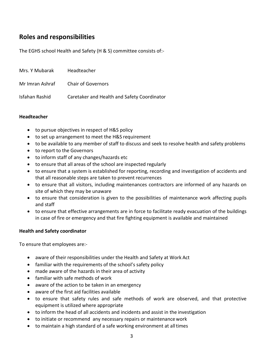# <span id="page-3-0"></span>**Roles and responsibilities**

The EGHS school Health and Safety (H & S) committee consists of:-

| Mrs. Y Mubarak  | Headteacher                                 |
|-----------------|---------------------------------------------|
| Mr Imran Ashraf | <b>Chair of Governors</b>                   |
| Isfahan Rashid  | Caretaker and Health and Safety Coordinator |

#### **Headteacher**

- to pursue objectives in respect of H&S policy
- to set up arrangement to meet the H&S requirement
- to be available to any member of staff to discuss and seek to resolve health and safety problems
- to report to the Governors
- to inform staff of any changes/hazards etc
- to ensure that all areas of the school are inspected regularly
- to ensure that a system is established for reporting, recording and investigation of accidents and that all reasonable steps are taken to prevent recurrences
- to ensure that all visitors, including maintenances contractors are informed of any hazards on site of which they may be unaware
- to ensure that consideration is given to the possibilities of maintenance work affecting pupils and staff
- to ensure that effective arrangements are in force to facilitate ready evacuation of the buildings in case of fire or emergency and that fire fighting equipment is available and maintained

#### **Health and Safety coordinator**

To ensure that employees are:-

- aware of their responsibilities under the Health and Safety at Work Act
- familiar with the requirements of the school's safety policy
- made aware of the hazards in their area of activity
- familiar with safe methods of work
- aware of the action to be taken in an emergency
- aware of the first aid facilities available
- to ensure that safety rules and safe methods of work are observed, and that protective equipment is utilized where appropriate
- to inform the head of all accidents and incidents and assist in the investigation
- to initiate or recommend any necessary repairs or maintenancework
- to maintain a high standard of a safe working environment at alltimes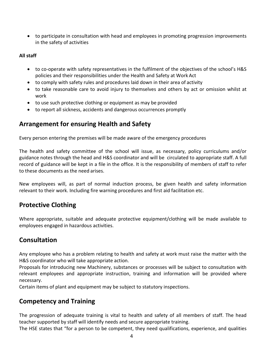• to participate in consultation with head and employees in promoting progression improvements in the safety of activities

### **All staff**

- to co-operate with safety representatives in the fulfilment of the objectives of the school's H&S policies and their responsibilities under the Health and Safety at Work Act
- to comply with safety rules and procedures laid down in their area of activity
- to take reasonable care to avoid injury to themselves and others by act or omission whilst at work
- to use such protective clothing or equipment as may be provided
- to report all sickness, accidents and dangerous occurrences promptly

# <span id="page-4-0"></span>**Arrangement for ensuring Health and Safety**

Every person entering the premises will be made aware of the emergency procedures

The health and safety committee of the school will issue, as necessary, policy curriculums and/or guidance notes through the head and H&S coordinator and will be circulated to appropriate staff. A full record of guidance will be kept in a file in the office. It is the responsibility of members of staff to refer to these documents as the need arises.

New employees will, as part of normal induction process, be given health and safety information relevant to their work. Including fire warning procedures and first aid facilitation etc.

# <span id="page-4-1"></span>**Protective Clothing**

Where appropriate, suitable and adequate protective equipment/clothing will be made available to employees engaged in hazardous activities.

# <span id="page-4-2"></span>**Consultation**

Any employee who has a problem relating to health and safety at work must raise the matter with the H&S coordinator who will take appropriate action.

Proposals for introducing new Machinery, substances or processes will be subject to consultation with relevant employees and appropriate instruction, training and information will be provided where necessary.

Certain items of plant and equipment may be subject to statutory inspections.

# <span id="page-4-3"></span>**Competency and Training**

The progression of adequate training is vital to health and safety of all members of staff. The head teacher supported by staff will identify needs and secure appropriate training.

The HSE states that "for a person to be competent, they need qualifications, experience, and qualities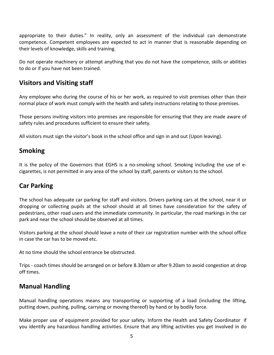appropriate to their duties." In reality, only an assessment of the individual can demonstrate competence. Competent employees are expected to act in manner that is reasonable depending on their levels of knowledge, skills and training.

Do not operate machinery or attempt anything that you do not have the competence, skills or abilities to do or if you have not been trained.

## <span id="page-5-0"></span>**Visitors and Visiting staff**

Any employee who during the course of his or her work, as required to visit premises other than their normal place of work must comply with the health and safety instructions relating to those premises.

Those persons inviting visitors into premises are responsible for ensuring that they are made aware of safety rules and procedures sufficient to ensure their safety.

All visitors must sign the visitor's book in the school office and sign in and out (Upon leaving).

### <span id="page-5-1"></span>**Smoking**

It is the policy of the Governors that EGHS is a no-smoking school. Smoking including the use of ecigarettes, is not permitted in any area of the school by staff, parents or visitors to the school.

### <span id="page-5-2"></span>**Car Parking**

The school has adequate car parking for staff and visitors. Drivers parking cars at the school, near it or dropping or collecting pupils at the school should at all times have consideration for the safety of pedestrians, other road users and the immediate community. In particular, the road markings in the car park and near the school should be observed at all times.

Visitors parking at the school should leave a note of their car registration number with the school office in case the car has to be moved etc.

At no time should the school entrance be obstructed.

Trips - coach times should be arranged on or before 8.30am or after 9.20am to avoid congestion at drop off times.

# <span id="page-5-3"></span>**Manual Handling**

Manual handling operations means any transporting or supporting of a load (including the lifting, putting down, pushing, pulling, carrying or moving thereof) by hand or by bodily force.

Make proper use of equipment provided for your safety. Inform the Health and Safety Coordinator if you identify any hazardous handling activities. Ensure that any lifting activities you get involved in do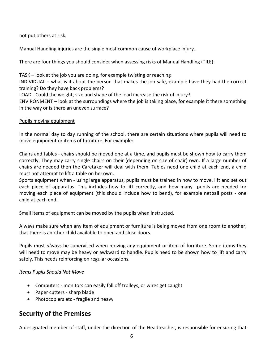not put others at risk.

Manual Handling injuries are the single most common cause of workplace injury.

There are four things you should consider when assessing risks of Manual Handling (TILE):

TASK – look at the job you are doing, for example twisting or reaching INDIVIDUAL – what is it about the person that makes the job safe, example have they had the correct training? Do they have back problems? LOAD - Could the weight, size and shape of the load increase the risk of injury? ENVIRONMENT – look at the surroundings where the job is taking place, for example it there something in the way or is there an uneven surface?

### Pupils moving equipment

In the normal day to day running of the school, there are certain situations where pupils will need to move equipment or items of furniture. For example:

Chairs and tables - chairs should be moved one at a time, and pupils must be shown how to carry them correctly. They may carry single chairs on their (depending on size of chair) own. If a large number of chairs are needed then the Caretaker will deal with them. Tables need one child at each end, a child must not attempt to lift a table on her own.

Sports equipment when - using large apparatus, pupils must be trained in how to move, lift and set out each piece of apparatus. This includes how to lift correctly, and how many pupils are needed for moving each piece of equipment (this should include how to bend), for example netball posts - one child at each end.

Small items of equipment can be moved by the pupils when instructed.

Always make sure when any item of equipment or furniture is being moved from one room to another, that there is another child available to open and close doors.

Pupils must *always* be supervised when moving any equipment or item of furniture. Some items they will need to move may be heavy or awkward to handle. Pupils need to be shown how to lift and carry safely. This needs reinforcing on regular occasions.

### *Items Pupils Should Not Move*

- Computers monitors can easily fall off trolleys, or wires get caught
- Paper cutters sharp blade
- Photocopiers etc fragile and heavy

# <span id="page-6-0"></span>**Security of the Premises**

A designated member of staff, under the direction of the Headteacher, is responsible for ensuring that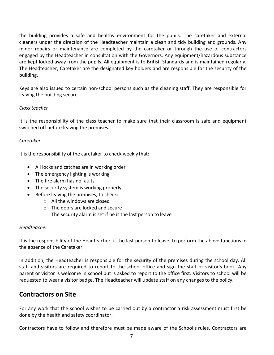the building provides a safe and healthy environment for the pupils. The caretaker and external cleaners under the direction of the Headteacher maintain a clean and tidy building and grounds. Any minor repairs or maintenance are completed by the caretaker or through the use of contractors engaged by the Headteacher in consultation with the Governors. Any equipment/hazardous substance are kept locked away from the pupils. All equipment is to British Standards and is maintained regularly. The Headteacher, Caretaker are the designated key holders and are responsible for the security of the building.

Keys are also issued to certain non-school persons such as the cleaning staff. They are responsible for leaving the building secure.

### *Class teacher*

It is the responsibility of the class teacher to make sure that their classroom is safe and equipment switched off before leaving the premises.

### *Caretaker*

It is the responsibility of the caretaker to check weekly that:

- All locks and catches are in working order
- The emergency lighting is working
- The fire alarm has no faults
- The security system is working properly
- Before leaving the premises, to check:
	- o All the windows are closed
	- o The doors are locked and secure
	- o The security alarm is set if he is the last person to leave

### *Headteacher*

It is the responsibility of the Headteacher, if the last person to leave, to perform the above functions in the absence of the Caretaker.

In addition, the Headteacher is responsible for the security of the premises during the school day. All staff and visitors are required to report to the school office and sign the staff or visitor's book. Any parent or visitor is welcome in school but is asked to report to the office first. Visitors to school will be requested to wear a visitor badge. The Headteacher will update staff on any changes to the policy.

### <span id="page-7-0"></span>**Contractors on Site**

For any work that the school wishes to be carried out by a contractor a risk assessment must first be done by the health and safety coordinator.

Contractors have to follow and therefore must be made aware of the School's rules. Contractors are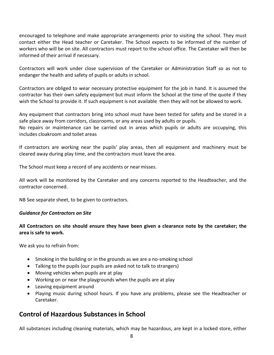encouraged to telephone and make appropriate arrangements prior to visiting the school. They must contact either the Head teacher or Caretaker. The School expects to be informed of the number of workers who will be on site. All contractors must report to the school office. The Caretaker will then be informed of their arrival if necessary.

Contractors will work under close supervision of the Caretaker or Administration Staff so as not to endanger the health and safety of pupils or adults in school.

Contractors are obliged to wear necessary protective equipment for the job in hand. It is assumed the contractor has their own safety equipment but must inform the School at the time of the quote if they wish the School to provide it. If such equipment is not available then they will not be allowed to work.

Any equipment that contractors bring into school must have been tested for safety and be stored in a safe place away from corridors, classrooms, or any areas used by adults or pupils.

No repairs or maintenance can be carried out in areas which pupils or adults are occupying, this includes cloakroom and toilet areas

If contractors are working near the pupils' play areas, then all equipment and machinery must be cleared away during play time, and the contractors must leave the area.

The School must keep a record of any accidents or near misses.

All work will be monitored by the Caretaker and any concerns reported to the Headteacher, and the contractor concerned.

NB See separate sheet, to be given to contractors.

#### *Guidance for Contractors on Site*

### **All Contractors on site should ensure they have been given a clearance note by the caretaker; the area is safe to work.**

We ask you to refrain from:

- Smoking in the building or in the grounds as we are a no-smoking school
- Talking to the pupils (our pupils are asked not to talk to strangers)
- Moving vehicles when pupils are at play
- Working on or near the playgrounds when the pupils are at play
- Leaving equipment around
- Playing music during school hours. If you have any problems, please see the Headteacher or Caretaker.

### <span id="page-8-0"></span>**Control of Hazardous Substances in School**

All substances including cleaning materials, which may be hazardous, are kept in a locked store, either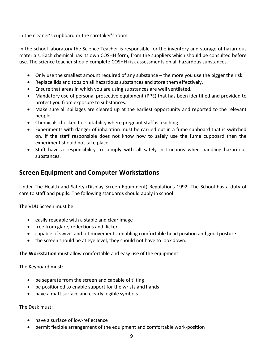in the cleaner's cupboard or the caretaker's room.

In the school laboratory the Science Teacher is responsible for the inventory and storage of hazardous materials. Each chemical has its own COSHH form, from the suppliers which should be consulted before use. The science teacher should complete COSHH risk assessments on all hazardous substances.

- Only use the smallest amount required of any substance the more you use the bigger the risk.
- Replace lids and tops on all hazardous substances and store them effectively.
- Ensure that areas in which you are using substances are well ventilated.
- Mandatory use of personal protective equipment (PPE) that has been identified and provided to protect you from exposure to substances.
- Make sure all spillages are cleared up at the earliest opportunity and reported to the relevant people.
- Chemicals checked for suitability where pregnant staff is teaching.
- Experiments with danger of inhalation must be carried out in a fume cupboard that is switched on. If the staff responsible does not know how to safely use the fume cupboard then the experiment should not take place.
- Staff have a responsibility to comply with all safely instructions when handling hazardous substances.

### <span id="page-9-0"></span>**Screen Equipment and Computer Workstations**

Under The Health and Safety (Display Screen Equipment) Regulations 1992. The School has a duty of care to staff and pupils. The following standards should apply in school:

The VDU Screen must be:

- easily readable with a stable and clear image
- free from glare, reflections and flicker
- capable of swivel and tilt movements, enabling comfortable head position and good posture
- the screen should be at eye level, they should not have to look down.

**The Workstation** must allow comfortable and easy use of the equipment.

The Keyboard must:

- be separate from the screen and capable of tilting
- be positioned to enable support for the wrists and hands
- have a matt surface and clearly legible symbols

The Desk must:

- have a surface of low-reflectance
- permit flexible arrangement of the equipment and comfortable work-position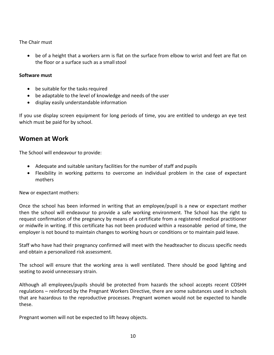The Chair must

• be of a height that a workers arm is flat on the surface from elbow to wrist and feet are flat on the floor or a surface such as a smallstool

#### **Software must**

- be suitable for the tasks required
- be adaptable to the level of knowledge and needs of the user
- display easily understandable information

If you use display screen equipment for long periods of time, you are entitled to undergo an eye test which must be paid for by school.

### <span id="page-10-0"></span>**Women at Work**

The School will endeavour to provide:

- Adequate and suitable sanitary facilities for the number of staff and pupils
- Flexibility in working patterns to overcome an individual problem in the case of expectant mothers

New or expectant mothers:

Once the school has been informed in writing that an employee/pupil is a new or expectant mother then the school will endeavour to provide a safe working environment. The School has the right to request confirmation of the pregnancy by means of a certificate from a registered medical practitioner or midwife in writing. If this certificate has not been produced within a reasonable period of time, the employer is not bound to maintain changes to working hours or conditions or to maintain paid leave.

Staff who have had their pregnancy confirmed will meet with the headteacher to discuss specific needs and obtain a personalized risk assessment.

The school will ensure that the working area is well ventilated. There should be good lighting and seating to avoid unnecessary strain.

Although all employees/pupils should be protected from hazards the school accepts recent COSHH regulations – reinforced by the Pregnant Workers Directive, there are some substances used in schools that are hazardous to the reproductive processes. Pregnant women would not be expected to handle these.

Pregnant women will not be expected to lift heavy objects.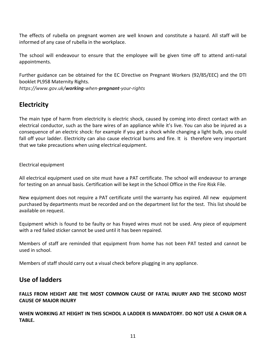The effects of rubella on pregnant women are well known and constitute a hazard. All staff will be informed of any case of rubella in the workplace.

The school will endeavour to ensure that the employee will be given time off to attend anti-natal appointments.

Further guidance can be obtained for the EC Directive on Pregnant Workers (92/85/EEC) and the DTI booklet PL958 Maternity Rights.

<span id="page-11-0"></span>*https:/[/www.gov.uk/](http://www.gov.uk/working-when-pregnant-your-rights)working-when-pregnant-your-rights*

### **Electricity**

The main type of harm from electricity is electric shock, caused by coming into direct contact with an electrical conductor, such as the bare wires of an appliance while it's live. You can also be injured as a consequence of an electric shock: for example if you get a shock while changing a light bulb, you could fall off your ladder. Electricity can also cause electrical burns and fire. It is therefore very important that we take precautions when using electrical equipment.

### Electrical equipment

All electrical equipment used on site must have a PAT certificate. The school will endeavour to arrange for testing on an annual basis. Certification will be kept in the School Office in the Fire Risk File.

New equipment does not require a PAT certificate until the warranty has expired. All new equipment purchased by departments must be recorded and on the department list for the test. This list should be available on request.

Equipment which is found to be faulty or has frayed wires must not be used. Any piece of equipment with a red failed sticker cannot be used until it has been repaired.

Members of staff are reminded that equipment from home has not been PAT tested and cannot be used in school.

Members of staff should carry out a visual check before plugging in any appliance.

### <span id="page-11-1"></span>**Use of ladders**

**FALLS FROM HEIGHT ARE THE MOST COMMON CAUSE OF FATAL INJURY AND THE SECOND MOST CAUSE OF MAJOR INJURY**

**WHEN WORKING AT HEIGHT IN THIS SCHOOL A LADDER IS MANDATORY. DO NOT USE A CHAIR OR A TABLE.**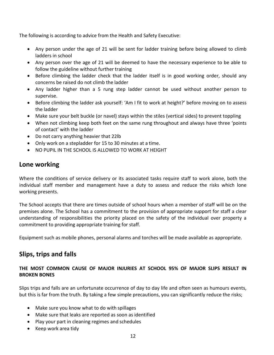The following is according to advice from the Health and Safety Executive:

- Any person under the age of 21 will be sent for ladder training before being allowed to climb ladders in school
- Any person over the age of 21 will be deemed to have the necessary experience to be able to follow the guideline without further training
- Before climbing the ladder check that the ladder itself is in good working order, should any concerns be raised do not climb the ladder
- Any ladder higher than a 5 rung step ladder cannot be used without another person to supervise.
- Before climbing the ladder ask yourself: 'Am I fit to work at height?' before moving on to assess the ladder
- Make sure your belt buckle (or navel) stays within the stiles (vertical sides) to prevent toppling
- When not climbing keep both feet on the same rung throughout and always have three 'points of contact' with the ladder
- Do not carry anything heavier that 22lb
- Only work on a stepladder for 15 to 30 minutes at a time.
- NO PUPIL IN THE SCHOOL IS ALLOWED TO WORK AT HEIGHT

### <span id="page-12-0"></span>**Lone working**

Where the conditions of service delivery or its associated tasks require staff to work alone, both the individual staff member and management have a duty to assess and reduce the risks which lone working presents.

The School accepts that there are times outside of school hours when a member of staff will be on the premises alone. The School has a commitment to the provision of appropriate support for staff a clear understanding of responsibilities the priority placed on the safety of the individual over property a commitment to providing appropriate training for staff.

Equipment such as mobile phones, personal alarms and torches will be made available as appropriate.

# <span id="page-12-1"></span>**Slips, trips and falls**

### **THE MOST COMMON CAUSE OF MAJOR INJURIES AT SCHOOL 95% OF MAJOR SLIPS RESULT IN BROKEN BONES**

Slips trips and falls are an unfortunate occurrence of day to day life and often seen as humours events, but this is far from the truth. By taking a few simple precautions, you can significantly reduce the risks;

- Make sure you know what to do with spillages
- Make sure that leaks are reported as soon as identified
- Play your part in cleaning regimes and schedules
- Keep work area tidy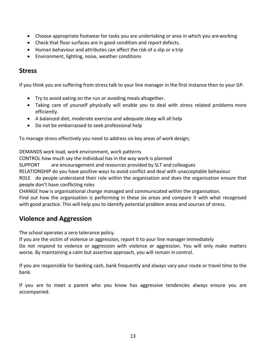- Choose appropriate footwear for tasks you are undertaking or area in which you areworking
- Check that floor surfaces are in good condition and report defects.
- Human behaviour and attributes can affect the risk of a slip or a trip
- Environment, lighting, noise, weather conditions

### <span id="page-13-0"></span>**Stress**

If you think you are suffering from stress talk to your line manager in the first instance then to your GP.

- Try to avoid eating on the run or avoiding meals altogether.
- Taking care of yourself physically will enable you to deal with stress related problems more efficiently.
- A balanced diet, moderate exercise and adequate sleep will all help
- Do not be embarrassed to seek professional help

To manage stress effectively you need to address six key areas of work design;

DEMANDS work load, work environment, work patterns

CONTROL how much say the individual has in the way work is planned

SUPPORT are encouragement and resources provided by SLT and colleagues

RELATIONSHIP do you have positive ways to avoid conflict and deal with unacceptable behaviour

ROLE do people understand their role within the organisation and does the organisation ensure that people don't have conflicting roles

CHANGE how is organisational change managed and communicated within the organisation. Find out how the organisation is performing in these six areas and compare it with what recognised with good practice. This will help you to identify potential problem areas and sources of stress.

### <span id="page-13-1"></span>**Violence and Aggression**

The school operates a zero tolerance policy.

If you are the victim of violence or aggression, report it to your line managerimmediately

Do not respond to violence or aggression with violence or aggression. You will only make matters worse. By maintaining a calm but assertive approach, you will remain in control.

If you are responsible for banking cash, bank frequently and always vary your route or travel time to the bank.

If you are to meet a parent who you know has aggressive tendencies always ensure you are accompanied.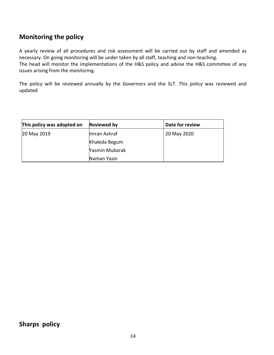# <span id="page-14-0"></span>**Monitoring the policy**

A yearly review of all procedures and risk assessment will be carried out by staff and amended as necessary. On going monitoring will be under taken by all staff, teaching and non-teaching. The head will monitor the implementations of the H&S policy and advise the H&S committee of any issues arising from the monitoring.

The policy will be reviewed annually by the Governors and the SLT. This policy was reviewed and updated

| This policy was adopted on | <b>Reviewed by</b> | Date for review |
|----------------------------|--------------------|-----------------|
| 20 May 2019                | Imran Ashraf       | 20 May 2020     |
|                            | Khaleda Begum      |                 |
|                            | Yasmin Mubarak     |                 |
|                            | Naman Yasin        |                 |

# <span id="page-14-1"></span>**Sharps policy**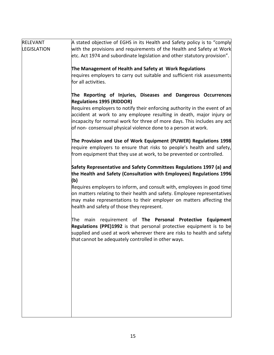| <b>RELEVANT</b>    | A stated objective of EGHS in its Health and Safety policy is to "comply  |
|--------------------|---------------------------------------------------------------------------|
| <b>LEGISLATION</b> | with the provisions and requirements of the Health and Safety at Work     |
|                    | etc. Act 1974 and subordinate legislation and other statutory provision". |
|                    | The Management of Health and Safety at Work Regulations                   |
|                    | requires employers to carry out suitable and sufficient risk assessments  |
|                    | for all activities.                                                       |
|                    | The Reporting of Injuries, Diseases and Dangerous Occurrences             |
|                    | <b>Regulations 1995 (RIDDOR)</b>                                          |
|                    | Requires employers to notify their enforcing authority in the event of an |
|                    | accident at work to any employee resulting in death, major injury or      |
|                    | incapacity for normal work for three of more days. This includes any act  |
|                    | of non-consensual physical violence done to a person at work.             |
|                    | The Provision and Use of Work Equipment (PUWER) Regulations 1998          |
|                    | require employers to ensure that risks to people's health and safety,     |
|                    | from equipment that they use at work, to be prevented or controlled.      |
|                    | Safety Representative and Safety Committees Regulations 1997 (a) and      |
|                    | the Health and Safety (Consultation with Employees) Regulations 1996      |
|                    | (b)                                                                       |
|                    | Requires employers to inform, and consult with, employees in good time    |
|                    | on matters relating to their health and safety. Employee representatives  |
|                    | may make representations to their employer on matters affecting the       |
|                    | health and safety of those they represent.                                |
|                    | main requirement of The Personal Protective<br>Equipment<br>The           |
|                    | Regulations (PPE)1992 is that personal protective equipment is to be      |
|                    | supplied and used at work wherever there are risks to health and safety   |
|                    | that cannot be adequately controlled in other ways.                       |
|                    |                                                                           |
|                    |                                                                           |
|                    |                                                                           |
|                    |                                                                           |
|                    |                                                                           |
|                    |                                                                           |
|                    |                                                                           |
|                    |                                                                           |
|                    |                                                                           |
|                    |                                                                           |

 $\mathbf{I}$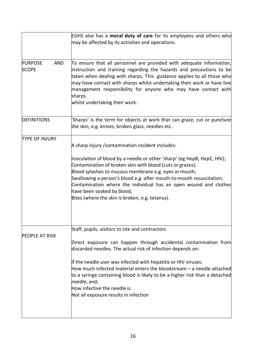|                                                                                                                                                                                                                                                                                                                                                                                                                                                                 | EGHS also has a moral duty of care for its employees and others who<br>may be affected by its activities and operations.                                                                                                                                                                                                                                                                                                                                                                              |
|-----------------------------------------------------------------------------------------------------------------------------------------------------------------------------------------------------------------------------------------------------------------------------------------------------------------------------------------------------------------------------------------------------------------------------------------------------------------|-------------------------------------------------------------------------------------------------------------------------------------------------------------------------------------------------------------------------------------------------------------------------------------------------------------------------------------------------------------------------------------------------------------------------------------------------------------------------------------------------------|
| <b>AND</b><br><b>PURPOSE</b><br>To ensure that all personnel are provided with adequate information,<br><b>SCOPE</b><br>instruction and training regarding the hazards and precautions to be<br>taken when dealing with sharps. This guidance applies to all those who<br>may have contact with sharps whilst undertaking their work or have line<br>management responsibility for anyone who may have contact with<br>sharps<br>whilst undertaking their work. |                                                                                                                                                                                                                                                                                                                                                                                                                                                                                                       |
| <b>DEFINITIONS</b>                                                                                                                                                                                                                                                                                                                                                                                                                                              | 'Sharps' is the term for objects at work that can graze, cut or puncture<br>the skin, e.g. knives, broken glass, needles etc.                                                                                                                                                                                                                                                                                                                                                                         |
| <b>TYPE OF INJURY</b>                                                                                                                                                                                                                                                                                                                                                                                                                                           | A sharp injury / contamination incident includes:<br>Inoculation of blood by a needle or other 'sharp' (eg HepB, HepC, HIV);<br>Contamination of broken skin with blood (cuts or grazes);<br>Blood splashes to mucous membrane e.g. eyes or mouth;<br>Swallowing a person's blood e.g. after mouth-to-mouth resuscitation;<br>Contamination where the individual has an open wound and clothes<br>have been soaked by blood;<br>Bites (where the skin is broken, e.g. tetanus).                       |
| <b>PEOPLE AT RISK</b>                                                                                                                                                                                                                                                                                                                                                                                                                                           | Staff, pupils, visitors to site and contractors<br>Direct exposure can happen through accidental contamination from<br>discarded needles. The actual risk of infection depends on:<br>If the needle user was infected with hepatitis or HIV viruses;<br>How much infected material enters the bloodstream - a needle attached<br>to a syringe containing blood is likely to be a higher risk than a detached<br>needle, and;<br>How infective the needle is.<br>Not all exposure results in infection |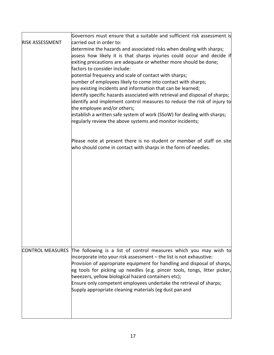| <b>RISK ASSESSMENT</b>  | Governors must ensure that a suitable and sufficient risk assessment is<br>carried out in order to:<br>determine the hazards and associated risks when dealing with sharps;<br>assess how likely it is that sharps injuries could occur and decide if<br>exiting precautions are adequate or whether more should be done;<br>factors to consider include:<br>potential frequency and scale of contact with sharps;<br>number of employees likely to come into contact with sharps;<br>any existing incidents and information that can be learned;<br>identify specific hazards associated with retrieval and disposal of sharps;<br>identify and implement control measures to reduce the risk of injury to<br>the employee and/or others;<br>establish a written safe system of work (SSoW) for dealing with sharps;<br>regularly review the above systems and monitor incidents;<br>Please note at present there is no student or member of staff on site<br>who should come in contact with sharps in the form of needles. |
|-------------------------|-------------------------------------------------------------------------------------------------------------------------------------------------------------------------------------------------------------------------------------------------------------------------------------------------------------------------------------------------------------------------------------------------------------------------------------------------------------------------------------------------------------------------------------------------------------------------------------------------------------------------------------------------------------------------------------------------------------------------------------------------------------------------------------------------------------------------------------------------------------------------------------------------------------------------------------------------------------------------------------------------------------------------------|
| <b>CONTROL MEASURES</b> | The following is a list of control measures which you may wish to<br>incorporate into your risk assessment – the list is not exhaustive:<br>Provision of appropriate equipment for handling and disposal of sharps,<br>eg tools for picking up needles (e.g. pincer tools, tongs, litter picker,<br>tweezers, yellow biological hazard containers etc);<br>Ensure only competent employees undertake the retrieval of sharps;<br>Supply appropriate cleaning materials (eg dust pan and                                                                                                                                                                                                                                                                                                                                                                                                                                                                                                                                       |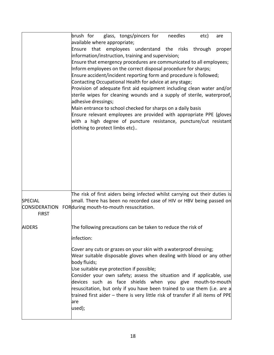| brush for glass, tongs/pincers for<br>needles<br>etc)<br>are                                                                                                                                                                                                                                                                                                                                                                                                                                                                                                                                                                                                                                                                                         |
|------------------------------------------------------------------------------------------------------------------------------------------------------------------------------------------------------------------------------------------------------------------------------------------------------------------------------------------------------------------------------------------------------------------------------------------------------------------------------------------------------------------------------------------------------------------------------------------------------------------------------------------------------------------------------------------------------------------------------------------------------|
| available where appropriate;<br>Ensure that employees understand the risks through<br>proper                                                                                                                                                                                                                                                                                                                                                                                                                                                                                                                                                                                                                                                         |
| information/instruction, training and supervision;<br>Ensure that emergency procedures are communicated to all employees;<br>Inform employees on the correct disposal procedure for sharps;<br>Ensure accident/incident reporting form and procedure is followed;<br>Contacting Occupational Health for advice at any stage;<br>Provision of adequate first aid equipment including clean water and/or<br>sterile wipes for cleaning wounds and a supply of sterile, waterproof,<br>adhesive dressings;<br>Main entrance to school checked for sharps on a daily basis<br>Ensure relevant employees are provided with appropriate PPE (gloves<br>with a high degree of puncture resistance, puncture/cut resistant<br>clothing to protect limbs etc) |
| The risk of first aiders being infected whilst carrying out their duties is<br>small. There has been no recorded case of HIV or HBV being passed on<br>CONSIDERATION FORduring mouth-to-mouth resuscitation.                                                                                                                                                                                                                                                                                                                                                                                                                                                                                                                                         |
| The following precautions can be taken to reduce the risk of                                                                                                                                                                                                                                                                                                                                                                                                                                                                                                                                                                                                                                                                                         |
| infection:                                                                                                                                                                                                                                                                                                                                                                                                                                                                                                                                                                                                                                                                                                                                           |
| Cover any cuts or grazes on your skin with a waterproof dressing;<br>Wear suitable disposable gloves when dealing with blood or any other<br>body fluids;<br>Use suitable eye protection if possible;<br>Consider your own safety; assess the situation and if applicable, use<br>devices such as face shields when you give mouth-to-mouth<br>resuscitation, but only if you have been trained to use them (i.e. are a<br>trained first aider – there is very little risk of transfer if all items of PPE<br>lare<br>used);                                                                                                                                                                                                                         |
|                                                                                                                                                                                                                                                                                                                                                                                                                                                                                                                                                                                                                                                                                                                                                      |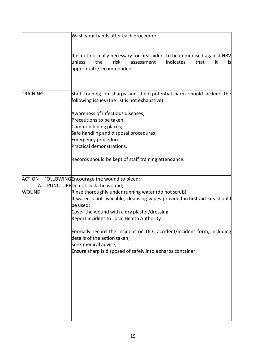|                                    | Wash your hands after each procedure.                                                                                                                                                                                                                                                                                                                                                                                                                                                                                      |
|------------------------------------|----------------------------------------------------------------------------------------------------------------------------------------------------------------------------------------------------------------------------------------------------------------------------------------------------------------------------------------------------------------------------------------------------------------------------------------------------------------------------------------------------------------------------|
|                                    | It is not normally necessary for first aiders to be immunised against HBV<br>the<br>risk<br>indicates<br>that<br>lunless<br>assessment<br>it<br>IS<br>appropriate/recommended.                                                                                                                                                                                                                                                                                                                                             |
| <b>TRAINING</b>                    | Staff training on sharps and their potential harm should include the<br>following issues (the list is not exhaustive):                                                                                                                                                                                                                                                                                                                                                                                                     |
|                                    | Awareness of infectious diseases;<br>Precautions to be taken;<br>Common hiding places;<br>Safe handling and disposal procedures;<br>Emergency procedure;<br>Practical demonstrations.<br>Records should be kept of staff training attendance.                                                                                                                                                                                                                                                                              |
| <b>ACTION</b><br>A<br><b>WOUND</b> | FOLLOWINGE ncourage the wound to bleed;<br>PUNCTUREDo not suck the wound;<br>Rinse thoroughly under running water (do not scrub);<br>If water is not available, cleansing wipes provided in first aid kits should<br>be used;<br>Cover the wound with a dry plaster/dressing;<br>Report incident to Local Health Authority<br>Formally record the incident on DCC accident/incident form, including<br>details of the action taken;<br>Seek medical advice;<br>Ensure sharp is disposed of safely into a sharps container. |
|                                    |                                                                                                                                                                                                                                                                                                                                                                                                                                                                                                                            |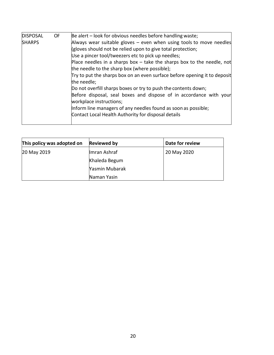| <b>DISPOSAL</b> | <b>OF</b> | Be alert – look for obvious needles before handling waste;                                    |
|-----------------|-----------|-----------------------------------------------------------------------------------------------|
| <b>SHARPS</b>   |           | Always wear suitable gloves $-$ even when using tools to move needles                         |
|                 |           | (gloves should not be relied upon to give total protection;                                   |
|                 |           | Use a pincer tool/tweezers etc to pick up needles;                                            |
|                 |           | Place needles in a sharps box $-$ take the sharps box to the needle, not                      |
|                 |           | the needle to the sharp box (where possible);                                                 |
|                 |           | Try to put the sharps box on an even surface before opening it to deposit                     |
|                 |           | the needle;                                                                                   |
|                 |           | Do not overfill sharps boxes or try to push the contents down;                                |
|                 |           | Before disposal, seal boxes and dispose of in accordance with your<br>workplace instructions; |
|                 |           | Inform line managers of any needles found as soon as possible;                                |
|                 |           | Contact Local Health Authority for disposal details                                           |
|                 |           |                                                                                               |

<span id="page-20-0"></span>

| This policy was adopted on | <b>Reviewed by</b> | Date for review |
|----------------------------|--------------------|-----------------|
| 20 May 2019                | Imran Ashraf       | 20 May 2020     |
|                            | Khaleda Begum      |                 |
|                            | Yasmin Mubarak     |                 |
|                            | Naman Yasin        |                 |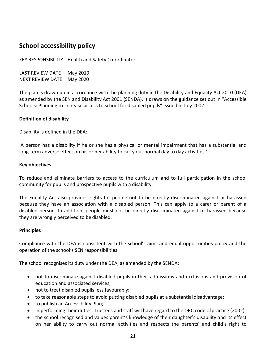### **School accessibility policy**

KEY RESPONSIBILITY Health and Safety Co-ordinator

LAST REVIEW DATE May 2019 NEXT REVIEW DATE May 2020

The plan is drawn up in accordance with the planning duty in the Disability and Equality Act 2010 (DEA) as amended by the SEN and Disability Act 2001 (SENDA). It draws on the guidance set out in "Accessible Schools: Planning to increase access to school for disabled pupils" issued in July 2002.

#### **Definition of disability**

Disability is defined in the DEA:

'A person has a disability if he or she has a physical or mental impairment that has a substantial and long-term adverse effect on his or her ability to carry out normal day to day activities.'

#### **Key objectives**

To reduce and eliminate barriers to access to the curriculum and to full participation in the school community for pupils and prospective pupils with a disability.

The Equality Act also provides rights for people not to be directly discriminated against or harassed because they have an association with a disabled person. This can apply to a carer or parent of a disabled person. In addition, people must not be directly discriminated against or harassed because they are wrongly perceived to be disabled.

#### **Principles**

Compliance with the DEA is consistent with the school's aims and equal opportunities policy and the operation of the school's SEN responsibilities.

The school recognises its duty under the DEA, as amended by the SENDA:

- not to discriminate against disabled pupils in their admissions and exclusions and provision of education and associated services;
- not to treat disabled pupils less favourably;
- to take reasonable steps to avoid putting disabled pupils at a substantial disadvantage;
- to publish an Accessibility Plan;
- in performing their duties, Trustees and staff will have regard to the DRC code ofpractice (2002)
- the school recognised and values parent's knowledge of their daughter's disability and its effect on her ability to carry out normal activities and respects the parents' and child's right to